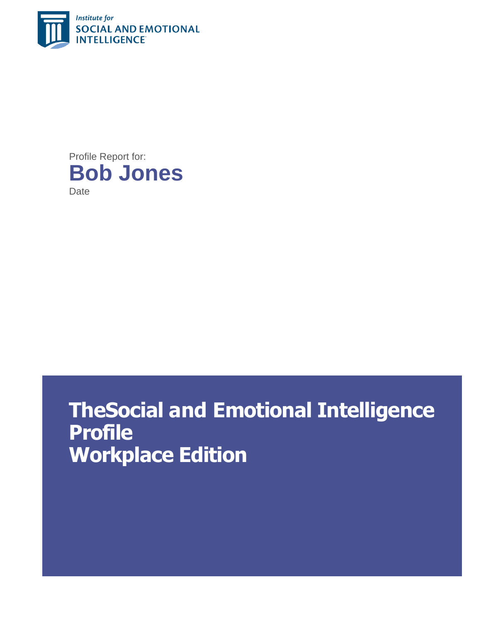

Profile Report for: **Bob Jones Date** 

# **TheSocial and Emotional Intelligence Profile Workplace Edition**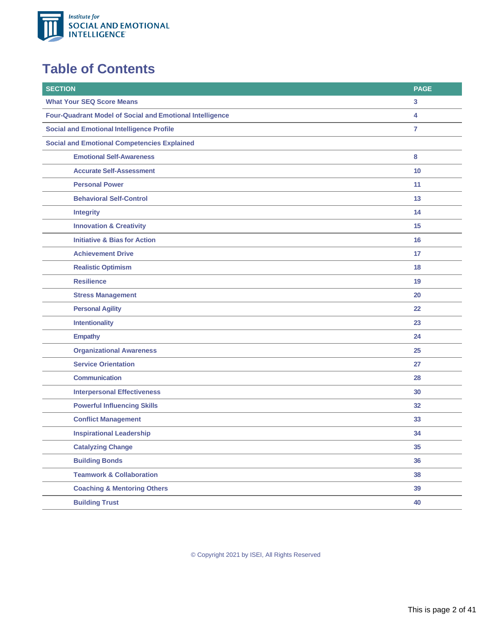

### **Table of Contents**

| <b>SECTION</b>                                                  | <b>PAGE</b>  |  |
|-----------------------------------------------------------------|--------------|--|
| <b>What Your SEQ Score Means</b>                                | $\mathbf{3}$ |  |
| <b>Four-Quadrant Model of Social and Emotional Intelligence</b> | 4            |  |
| <b>Social and Emotional Intelligence Profile</b>                |              |  |
| <b>Social and Emotional Competencies Explained</b>              |              |  |
| <b>Emotional Self-Awareness</b>                                 | 8            |  |
| <b>Accurate Self-Assessment</b>                                 | 10           |  |
| <b>Personal Power</b>                                           | 11           |  |
| <b>Behavioral Self-Control</b>                                  | 13           |  |
| <b>Integrity</b>                                                | 14           |  |
| <b>Innovation &amp; Creativity</b>                              | 15           |  |
| <b>Initiative &amp; Bias for Action</b>                         | 16           |  |
| <b>Achievement Drive</b>                                        | 17           |  |
| <b>Realistic Optimism</b>                                       | 18           |  |
| <b>Resilience</b>                                               | 19           |  |
| <b>Stress Management</b>                                        | 20           |  |
| <b>Personal Agility</b>                                         | 22           |  |
| <b>Intentionality</b>                                           | 23           |  |
| <b>Empathy</b>                                                  | 24           |  |
| <b>Organizational Awareness</b>                                 | 25           |  |
| <b>Service Orientation</b>                                      | 27           |  |
| <b>Communication</b>                                            | 28           |  |
| <b>Interpersonal Effectiveness</b>                              | 30           |  |
| <b>Powerful Influencing Skills</b>                              | 32           |  |
| <b>Conflict Management</b>                                      | 33           |  |
| <b>Inspirational Leadership</b>                                 | 34           |  |
| <b>Catalyzing Change</b>                                        | 35           |  |
| <b>Building Bonds</b>                                           | 36           |  |
| <b>Teamwork &amp; Collaboration</b>                             | 38           |  |
| <b>Coaching &amp; Mentoring Others</b>                          | 39           |  |
| <b>Building Trust</b>                                           | 40           |  |
|                                                                 |              |  |

© Copyright 2021 by ISEI, All Rights Reserved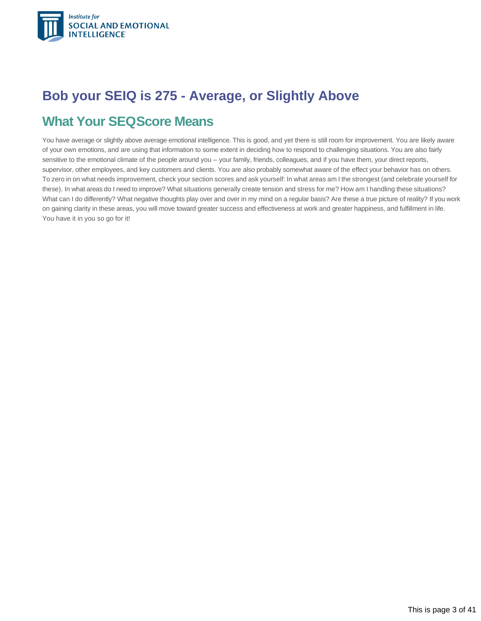

### <span id="page-2-0"></span>**Bob your SEIQ is 275 - Average, or Slightly Above**

### **What Your SEQScore Means**

You have average or slightly above average emotional intelligence. This is good, and yet there is still room for improvement. You are likely aware of your own emotions, and are using that information to some extent in deciding how to respond to challenging situations. You are also fairly sensitive to the emotional climate of the people around you – your family, friends, colleagues, and if you have them, your direct reports, supervisor, other employees, and key customers and clients. You are also probably somewhat aware of the effect your behavior has on others. To zero in on what needs improvement, check your section scores and ask yourself: In what areas am I the strongest (and celebrate yourself for these). In what areas do I need to improve? What situations generally create tension and stress for me? How am I handling these situations? What can I do differently? What negative thoughts play over and over in my mind on a regular basis? Are these a true picture of reality? If you work on gaining clarity in these areas, you will move toward greater success and effectiveness at work and greater happiness, and fulfillment in life. You have it in you so go for it!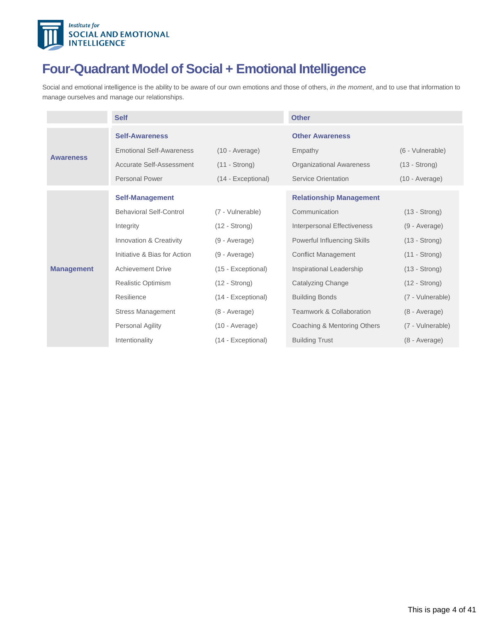

## **Four-Quadrant Model of Social + Emotional Intelligence**

<span id="page-3-0"></span>Social and emotional intelligence is the ability to be aware of our own emotions and those of others, *in the moment*, and to use that information to manage ourselves and manage our relationships.

|                   | <b>Self</b>                     |                        | <b>Other</b>                        |                        |
|-------------------|---------------------------------|------------------------|-------------------------------------|------------------------|
|                   | <b>Self-Awareness</b>           |                        | <b>Other Awareness</b>              |                        |
| <b>Awareness</b>  | <b>Emotional Self-Awareness</b> | $(10 - Average)$       | Empathy                             | (6 - Vulnerable)       |
|                   | <b>Accurate Self-Assessment</b> | $(11 - \text{Strong})$ | <b>Organizational Awareness</b>     | $(13 - Strong)$        |
|                   | <b>Personal Power</b>           | (14 - Exceptional)     | <b>Service Orientation</b>          | $(10 - Average)$       |
|                   | <b>Self-Management</b>          |                        | <b>Relationship Management</b>      |                        |
| <b>Management</b> | <b>Behavioral Self-Control</b>  | (7 - Vulnerable)       | Communication                       | $(13 - Strong)$        |
|                   | Integrity                       | $(12 - \text{Strong})$ | Interpersonal Effectiveness         | (9 - Average)          |
|                   | Innovation & Creativity         | (9 - Average)          | Powerful Influencing Skills         | $(13 - Strong)$        |
|                   | Initiative & Bias for Action    | (9 - Average)          | <b>Conflict Management</b>          | $(11 - \text{Strong})$ |
|                   | <b>Achievement Drive</b>        | (15 - Exceptional)     | Inspirational Leadership            | $(13 - Strong)$        |
|                   | <b>Realistic Optimism</b>       | $(12 - Strong)$        | Catalyzing Change                   | $(12 - Strong)$        |
|                   | Resilience                      | (14 - Exceptional)     | <b>Building Bonds</b>               | (7 - Vulnerable)       |
|                   | <b>Stress Management</b>        | (8 - Average)          | <b>Teamwork &amp; Collaboration</b> | $(8 - Average)$        |
|                   | Personal Agility                | $(10 - Average)$       | Coaching & Mentoring Others         | (7 - Vulnerable)       |
|                   | Intentionality                  | (14 - Exceptional)     | <b>Building Trust</b>               | (8 - Average)          |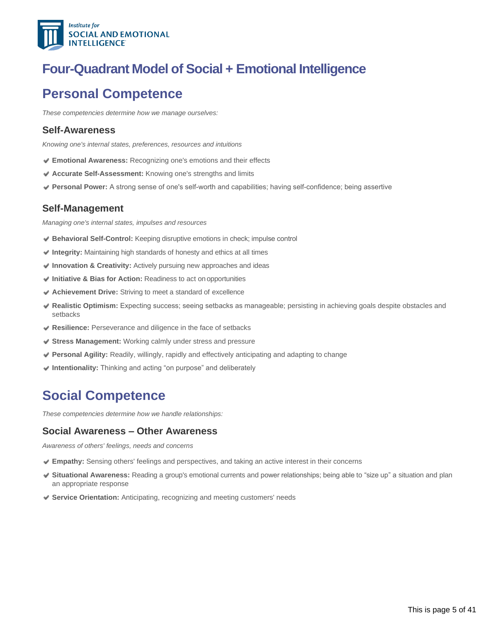

### **Four-Quadrant Model of Social + Emotional Intelligence**

### **Personal Competence**

*These competencies determine how we manage ourselves:*

#### **Self-Awareness**

*Knowing one's internal states, preferences, resources and intuitions*

- **Emotional Awareness:** Recognizing one's emotions and their effects
- **Accurate Self-Assessment:** Knowing one's strengths and limits
- Personal Power: A strong sense of one's self-worth and capabilities; having self-confidence; being assertive

#### **Self-Management**

*Managing one's internal states, impulses and resources*

- **Behavioral Self-Control:** Keeping disruptive emotions in check; impulse control
- **Integrity:** Maintaining high standards of honesty and ethics at all times
- **Innovation & Creativity:** Actively pursuing new approaches and ideas
- **Initiative & Bias for Action:** Readiness to act on opportunities
- **Achievement Drive:** Striving to meet a standard of excellence
- **Realistic Optimism:** Expecting success; seeing setbacks as manageable; persisting in achieving goals despite obstacles and setbacks
- **Resilience:** Perseverance and diligence in the face of setbacks
- **Stress Management:** Working calmly under stress and pressure
- **Personal Agility:** Readily, willingly, rapidly and effectively anticipating and adapting to change
- **Intentionality:** Thinking and acting "on purpose" and deliberately

### **Social Competence**

*These competencies determine how we handle relationships:*

#### **Social Awareness – Other Awareness**

*Awareness of others' feelings, needs and concerns*

- **Empathy:** Sensing others' feelings and perspectives, and taking an active interest in their concerns
- **Situational Awareness:** Reading a group's emotional currents and power relationships; being able to "size up" a situation and plan an appropriate response
- **Service Orientation:** Anticipating, recognizing and meeting customers' needs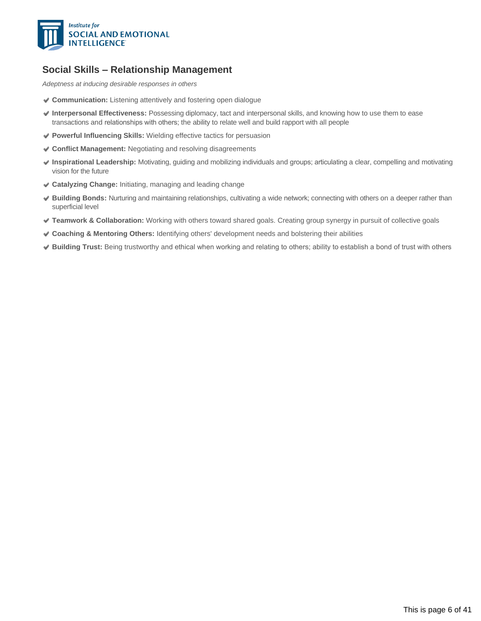

#### **Social Skills – Relationship Management**

*Adeptness at inducing desirable responses in others*

- **Communication:** Listening attentively and fostering open dialogue
- **Interpersonal Effectiveness:** Possessing diplomacy, tact and interpersonal skills, and knowing how to use them to ease transactions and relationships with others; the ability to relate well and build rapport with all people
- **Powerful Influencing Skills:** Wielding effective tactics for persuasion
- **Conflict Management:** Negotiating and resolving disagreements
- **Inspirational Leadership:** Motivating, guiding and mobilizing individuals and groups; articulating a clear, compelling and motivating vision for the future
- **Catalyzing Change:** Initiating, managing and leading change
- **Building Bonds:** Nurturing and maintaining relationships, cultivating a wide network; connecting with others on a deeper rather than superficial level
- **Teamwork & Collaboration:** Working with others toward shared goals. Creating group synergy in pursuit of collective goals
- **Coaching & Mentoring Others:** Identifying others' development needs and bolstering their abilities
- **Building Trust:** Being trustworthy and ethical when working and relating to others; ability to establish a bond of trust with others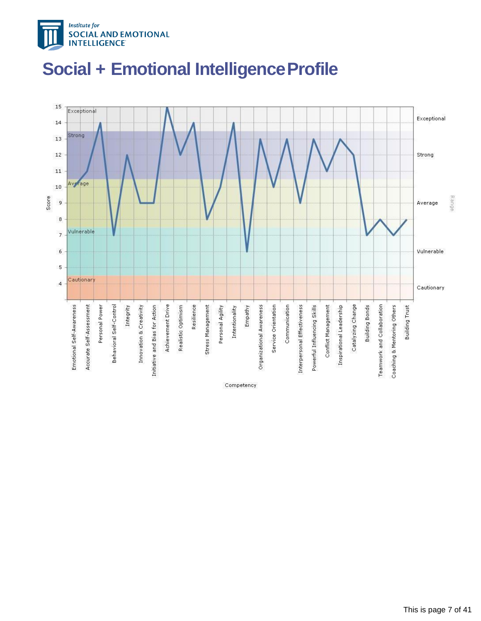



# <span id="page-6-0"></span>**Social + Emotional IntelligenceProfile**

Competency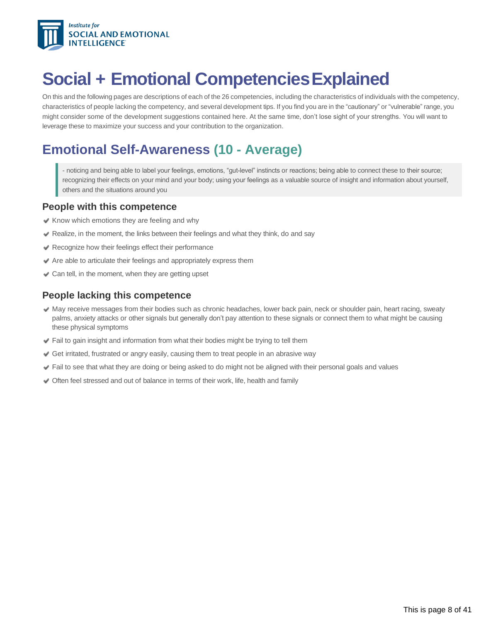

# <span id="page-7-0"></span>**Social + Emotional CompetenciesExplained**

On this and the following pages are descriptions of each of the 26 competencies, including the characteristics of individuals with the competency, characteristics of people lacking the competency, and several development tips. If you find you are in the "cautionary" or "vulnerable" range, you might consider some of the development suggestions contained here. At the same time, don't lose sight of your strengths. You will want to leverage these to maximize your success and your contribution to the organization.

### **Emotional Self-Awareness (10 - Average)**

- noticing and being able to label your feelings, emotions, "gut-level" instincts or reactions; being able to connect these to their source; recognizing their effects on your mind and your body; using your feelings as a valuable source of insight and information about yourself, others and the situations around you

#### **People with this competence**

- $\blacktriangleright$  Know which emotions they are feeling and why
- $\blacktriangleright$  Realize, in the moment, the links between their feelings and what they think, do and say
- Recognize how their feelings effect their performance
- $\blacktriangleright$  Are able to articulate their feelings and appropriately express them
- Can tell, in the moment, when they are getting upset

#### **People lacking this competence**

- May receive messages from their bodies such as chronic headaches, lower back pain, neck or shoulder pain, heart racing, sweaty palms, anxiety attacks or other signals but generally don't pay attention to these signals or connect them to what might be causing these physical symptoms
- Fail to gain insight and information from what their bodies might be trying to tell them
- Get irritated, frustrated or angry easily, causing them to treat people in an abrasive way
- Fail to see that what they are doing or being asked to do might not be aligned with their personal goals and values
- Often feel stressed and out of balance in terms of their work, life, health and family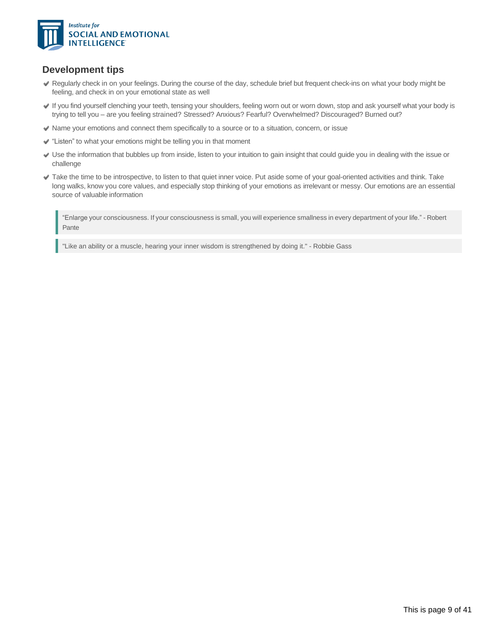

#### **Development tips**

- Regularly check in on your feelings. During the course of the day, schedule brief but frequent check-ins on what your body might be feeling, and check in on your emotional state as well
- If you find yourself clenching your teeth, tensing your shoulders, feeling worn out or worn down, stop and ask yourself what your body is trying to tell you – are you feeling strained? Stressed? Anxious? Fearful? Overwhelmed? Discouraged? Burned out?
- Name your emotions and connect them specifically to a source or to a situation, concern, or issue
- "Listen" to what your emotions might be telling you in that moment
- Use the information that bubbles up from inside, listen to your intuition to gain insight that could guide you in dealing with the issue or challenge
- Take the time to be introspective, to listen to that quiet inner voice. Put aside some of your goal-oriented activities and think. Take long walks, know you core values, and especially stop thinking of your emotions as irrelevant or messy. Our emotions are an essential source of valuable information

"Enlarge your consciousness. If your consciousness is small, you will experience smallness in every department of your life." - Robert Pante

"Like an ability or a muscle, hearing your inner wisdom is strengthened by doing it." - Robbie Gass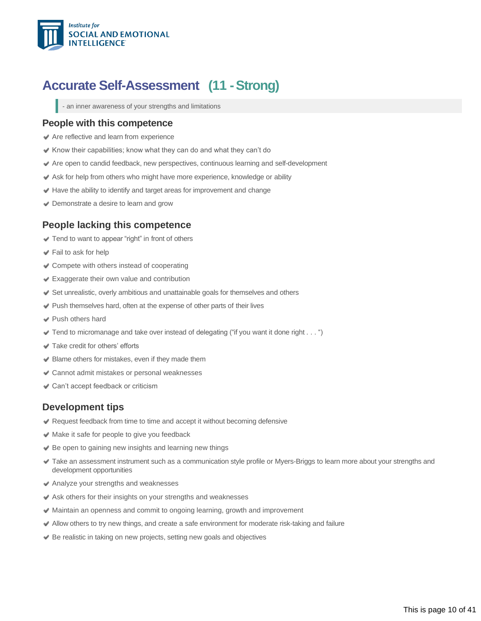

### <span id="page-9-0"></span>**Accurate Self-Assessment (11 -Strong)**

- an inner awareness of your strengths and limitations

#### **People with this competence**

- Are reflective and learn from experience
- Know their capabilities; know what they can do and what they can't do
- Are open to candid feedback, new perspectives, continuous learning and self-development
- Ask for help from others who might have more experience, knowledge or ability
- Have the ability to identify and target areas for improvement and change
- **■** Demonstrate a desire to learn and grow

#### **People lacking this competence**

- $\blacktriangleright$  Tend to want to appear "right" in front of others
- Fail to ask for help
- Compete with others instead of cooperating
- Exaggerate their own value and contribution
- Set unrealistic, overly ambitious and unattainable goals for themselves and others
- Push themselves hard, often at the expense of other parts of their lives
- Push others hard
- $\blacktriangleright$  Tend to micromanage and take over instead of delegating ("if you want it done right . . . ")
- Take credit for others' efforts
- $\blacktriangleright$  Blame others for mistakes, even if they made them
- Cannot admit mistakes or personal weaknesses
- **↓ Can't accept feedback or criticism**

#### **Development tips**

- Request feedback from time to time and accept it without becoming defensive
- Make it safe for people to give you feedback
- Be open to gaining new insights and learning new things
- Take an assessment instrument such as a communication style profile or Myers-Briggs to learn more about your strengths and development opportunities
- Analyze your strengths and weaknesses
- $\blacktriangleright$  Ask others for their insights on your strengths and weaknesses
- Maintain an openness and commit to ongoing learning, growth and improvement
- Allow others to try new things, and create a safe environment for moderate risk-taking and failure
- ◆ Be realistic in taking on new projects, setting new goals and objectives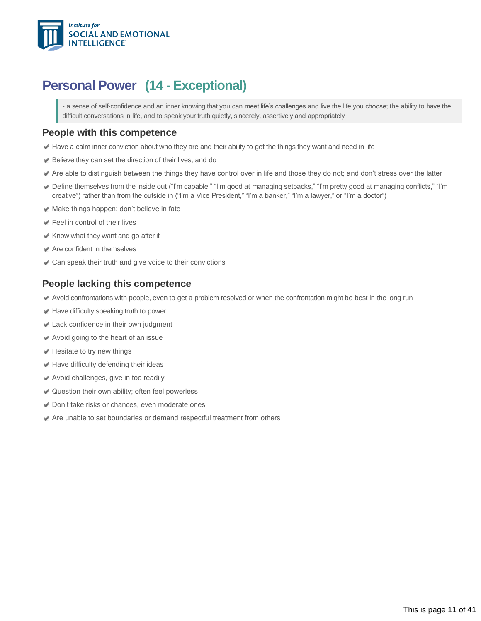

### <span id="page-10-0"></span>**Personal Power (14 -Exceptional)**

- a sense of self-confidence and an inner knowing that you can meet life's challenges and live the life you choose; the ability to have the difficult conversations in life, and to speak your truth quietly, sincerely, assertively and appropriately

#### **People with this competence**

- Have a calm inner conviction about who they are and their ability to get the things they want and need in life
- Believe they can set the direction of their lives, and do
- Are able to distinguish between the things they have control over in life and those they do not; and don't stress over the latter
- Define themselves from the inside out ("I'm capable," "I'm good at managing setbacks," "I'm pretty good at managing conflicts," "I'm creative") rather than from the outside in ("I'm a Vice President," "I'm a banker," "I'm a lawyer," or "I'm a doctor")
- $\blacktriangleright$  Make things happen; don't believe in fate
- Feel in control of their lives
- $\triangle$  Know what they want and go after it
- Are confident in themselves
- Can speak their truth and give voice to their convictions

#### **People lacking this competence**

- Avoid confrontations with people, even to get a problem resolved or when the confrontation might be best in the long run
- Have difficulty speaking truth to power
- Lack confidence in their own judgment
- Avoid going to the heart of an issue
- $\blacktriangleright$  Hesitate to try new things
- $\blacktriangleright$  Have difficulty defending their ideas
- Avoid challenges, give in too readily
- **◆ Question their own ability; often feel powerless**
- Don't take risks or chances, even moderate ones
- Are unable to set boundaries or demand respectful treatment from others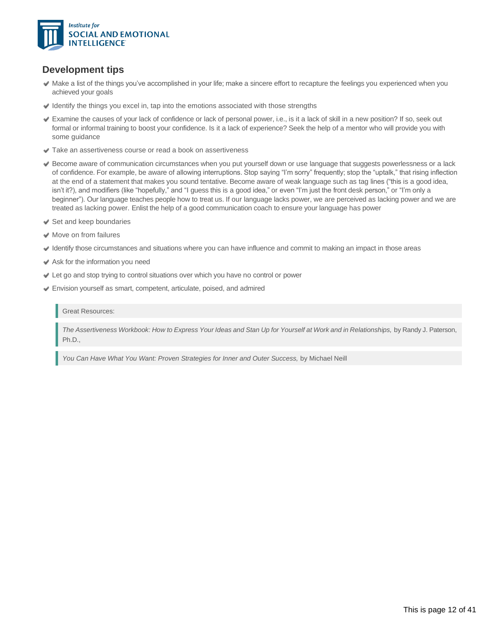

### **Development tips**

- Make a list of the things you've accomplished in your life; make a sincere effort to recapture the feelings you experienced when you achieved your goals
- $\blacktriangleright$  Identify the things you excel in, tap into the emotions associated with those strengths
- Examine the causes of your lack of confidence or lack of personal power, i.e., is it a lack of skill in a new position? If so, seek out formal or informal training to boost your confidence. Is it a lack of experience? Seek the help of a mentor who will provide you with some guidance
- **◆ Take an assertiveness course or read a book on assertiveness**
- Become aware of communication circumstances when you put yourself down or use language that suggests powerlessness or a lack of confidence. For example, be aware of allowing interruptions. Stop saying "I'm sorry" frequently; stop the "uptalk," that rising inflection at the end of a statement that makes you sound tentative. Become aware of weak language such as tag lines ("this is a good idea, isn't it?), and modifiers (like "hopefully," and "I guess this is a good idea," or even "I'm just the front desk person," or "I'm only a beginner"). Our language teaches people how to treat us. If our language lacks power, we are perceived as lacking power and we are treated as lacking power. Enlist the help of a good communication coach to ensure your language has power
- $\blacktriangleright$  Set and keep boundaries
- **◆** Move on from failures
- Identify those circumstances and situations where you can have influence and commit to making an impact in those areas
- Ask for the information you need
- Let go and stop trying to control situations over which you have no control or power
- Envision yourself as smart, competent, articulate, poised, and admired

Great Resources:

The Assertiveness Workbook: How to Express Your Ideas and Stan Up for Yourself at Work and in Relationships, by Randy J. Paterson Ph.D.,

You Can Have What You Want: Proven Strategies for Inner and Outer Success, by Michael Neill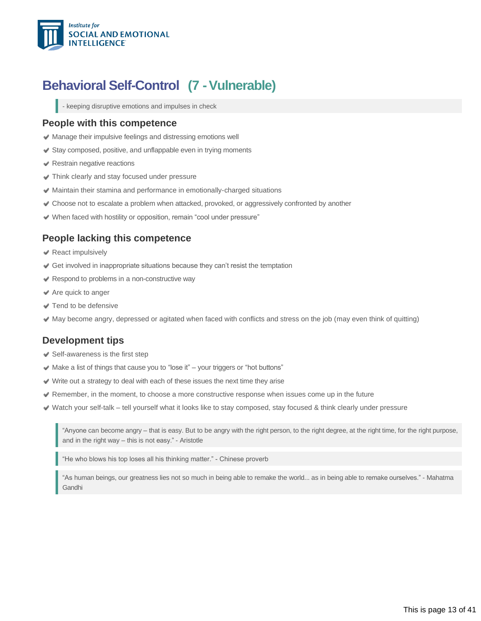

### <span id="page-12-0"></span>**Behavioral Self-Control (7 - Vulnerable)**

- keeping disruptive emotions and impulses in check

#### **People with this competence**

- $\blacktriangleright$  Manage their impulsive feelings and distressing emotions well
- Stay composed, positive, and unflappable even in trying moments
- Restrain negative reactions
- Think clearly and stay focused under pressure
- Maintain their stamina and performance in emotionally-charged situations
- Choose not to escalate a problem when attacked, provoked, or aggressively confronted by another
- When faced with hostility or opposition, remain "cool under pressure"

#### **People lacking this competence**

- **◆ React impulsively**
- Get involved in inappropriate situations because they can't resist the temptation
- Respond to problems in a non-constructive way
- $\triangle$  Are quick to anger
- Tend to be defensive
- May become angry, depressed or agitated when faced with conflicts and stress on the job (may even think of quitting)

#### **Development tips**

- $\blacktriangleright$  Self-awareness is the first step
- $\blacktriangleright$  Make a list of things that cause you to "lose it" your triggers or "hot buttons"
- Write out a strategy to deal with each of these issues the next time they arise
- Remember, in the moment, to choose a more constructive response when issues come up in the future
- Watch your self-talk tell yourself what it looks like to stay composed, stay focused & think clearly under pressure

"Anyone can become angry – that is easy. But to be angry with the right person, to the right degree, at the right time, for the right purpose, and in the right way – this is not easy." - Aristotle

"He who blows his top loses all his thinking matter." Chinese proverb

"As human beings, our greatness lies not so much in being able to remake the world... as in being able to remake ourselves." - Mahatma Gandhi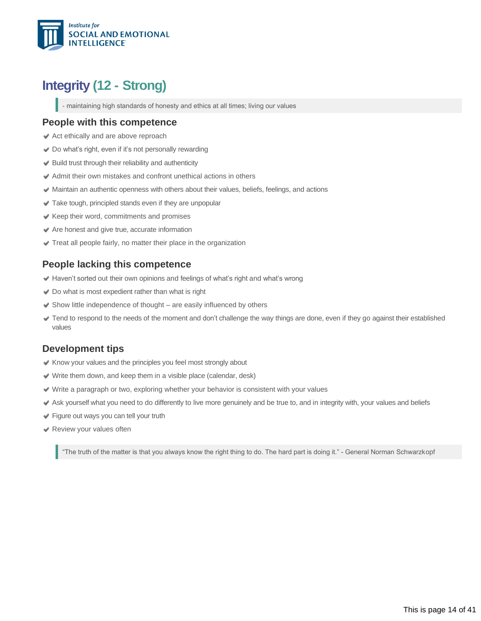

### **Integrity (12 - Strong)**

<span id="page-13-0"></span>- maintaining high standards of honesty and ethics at all times; living our values

#### **People with this competence**

- Act ethically and are above reproach
- Do what's right, even if it's not personally rewarding
- $\blacktriangleright$  Build trust through their reliability and authenticity
- Admit their own mistakes and confront unethical actions in others
- Maintain an authentic openness with others about their values, beliefs, feelings, and actions
- Take tough, principled stands even if they are unpopular
- $\blacktriangleright$  Keep their word, commitments and promises
- $\blacktriangleright$  Are honest and give true, accurate information
- $\blacktriangleright$  Treat all people fairly, no matter their place in the organization

#### **People lacking this competence**

- Haven't sorted out their own opinions and feelings of what's right and what's wrong
- Do what is most expedient rather than what is right
- $\blacktriangleright$  Show little independence of thought are easily influenced by others
- Tend to respond to the needs of the moment and don't challenge the way things are done, even if they go against their established values

#### **Development tips**

- $\blacktriangleright$  Know your values and the principles you feel most strongly about
- Write them down, and keep them in a visible place (calendar, desk)
- Write a paragraph or two, exploring whether your behavior is consistent with your values
- Ask yourself what you need to do differently to live more genuinely and be true to, and in integrity with, your values and beliefs
- Figure out ways you can tell your truth
- Review your values often

"The truth of the matter is that you always know the right thing to do. The hard part is doing it." - General Norman Schwarzkopf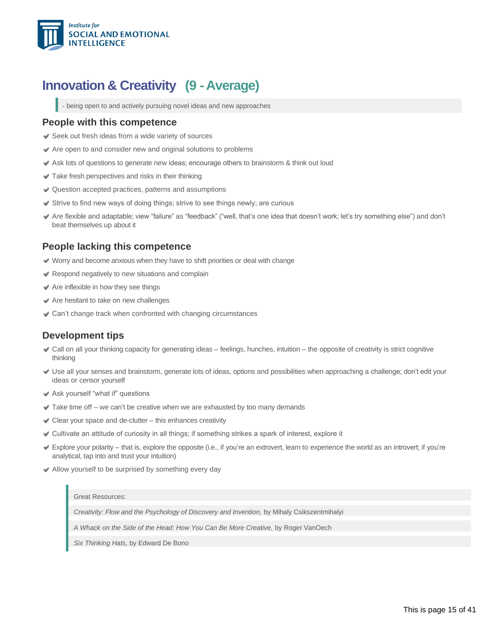

### **Innovation & Creativity (9 -Average)**

<span id="page-14-0"></span>- being open to and actively pursuing novel ideas and new approaches

#### **People with this competence**

- **◆ Seek out fresh ideas from a wide variety of sources**
- $\blacktriangleright$  Are open to and consider new and original solutions to problems
- Ask lots of questions to generate new ideas; encourage others to brainstorm & think out loud
- Take fresh perspectives and risks in their thinking
- Question accepted practices, patterns and assumptions
- $\blacktriangleright$  Strive to find new ways of doing things; strive to see things newly; are curious
- Are flexible and adaptable; view "failure" as "feedback" ("well, that's one idea that doesn't work; let's try something else") and don't beat themselves up about it

#### **People lacking this competence**

- Worry and become anxious when they have to shift priorities or deal with change
- $\blacktriangleright$  Respond negatively to new situations and complain
- $\triangle$  Are inflexible in how they see things
- $\blacktriangleright$  Are hesitant to take on new challenges
- Can't change track when confronted with changing circumstances

### **Development tips**

- Call on all your thinking capacity for generating ideas feelings, hunches, intuition the opposite of creativity is strict cognitive thinking
- Use all your senses and brainstorm, generate lots of ideas, options and possibilities when approaching a challenge; don't edit your ideas or censor yourself
- Ask yourself "what if" questions
- $\blacktriangleright$  Take time off we can't be creative when we are exhausted by too many demands
- $\triangleleft$  Clear your space and de-clutter this enhances creativity
- Cultivate an attitude of curiosity in all things; if something strikes a spark of interest, explore it
- Explore your polarity that is, explore the opposite (i.e., if you're an extrovert, learn to experience the world as an introvert; if you're analytical, tap into and trust your intuition)
- Allow yourself to be surprised by something every day

#### Great Resources:

*Creativity: Flow and the Psychology of Discovery and Invention,* by Mihaly Csikszentmihalyi

*A Whack on the Side of the Head: How You Can Be More Creative,* by Roger VanOech

*Six Thinking Hats,* by Edward De Bono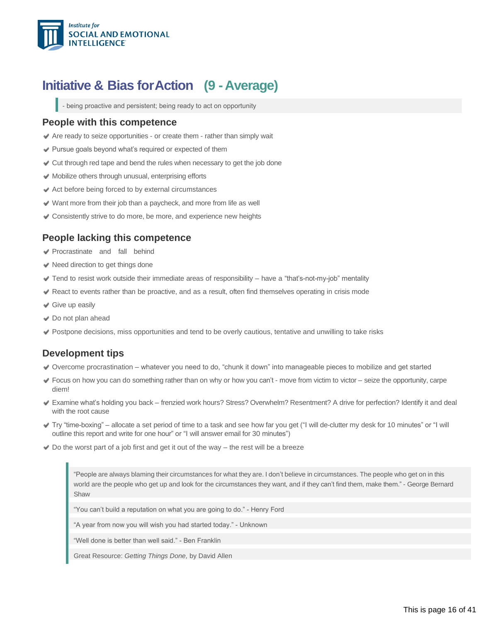

### **Initiative & Bias forAction (9 -Average)**

<span id="page-15-0"></span>- being proactive and persistent; being ready to act on opportunity

#### **People with this competence**

- Are ready to seize opportunities or create them rather than simply wait
- Pursue goals beyond what's required or expected of them
- Cut through red tape and bend the rules when necessary to get the job done
- Mobilize others through unusual, enterprising efforts
- Act before being forced to by external circumstances
- $\vee$  Want more from their job than a paycheck, and more from life as well
- Consistently strive to do more, be more, and experience new heights

#### **People lacking this competence**

- Procrastinate and fall behind
- $\blacktriangleright$  Need direction to get things done
- $\blacktriangledown$  Tend to resist work outside their immediate areas of responsibility  $-$  have a "that's-not-my-job" mentality
- React to events rather than be proactive, and as a result, often find themselves operating in crisis mode
- **◆** Give up easily
- Do not plan ahead
- Postpone decisions, miss opportunities and tend to be overly cautious, tentative and unwilling to take risks

#### **Development tips**

- Overcome procrastination whatever you need to do, "chunk it down" into manageable pieces to mobilize and get started
- Focus on how you can do something rather than on why or how you can't move from victim to victor seize the opportunity, carpe diem!
- Examine what's holding you back frenzied work hours? Stress? Overwhelm? Resentment? A drive for perfection? Identify it and deal with the root cause
- Try "time-boxing" allocate a set period of time to a task and see how far you get ("I will de-clutter my desk for 10 minutes" or "I will outline this report and write for one hour" or "I will answer email for 30 minutes")
- $\blacktriangleright$  Do the worst part of a job first and get it out of the way the rest will be a breeze

"People are always blaming their circumstances for what they are. I don't believe in circumstances. The people who get on in this world are the people who get up and look for the circumstances they want, and if they can't find them, make them." - George Bernard **Shaw** 

"You can't build a reputation on what you are going to do." - Henry Ford

"A year from now you will wish you had started today." - Unknown

"Well done is better than well said." - Ben Franklin

Great Resource: *Getting Things Done,* by David Allen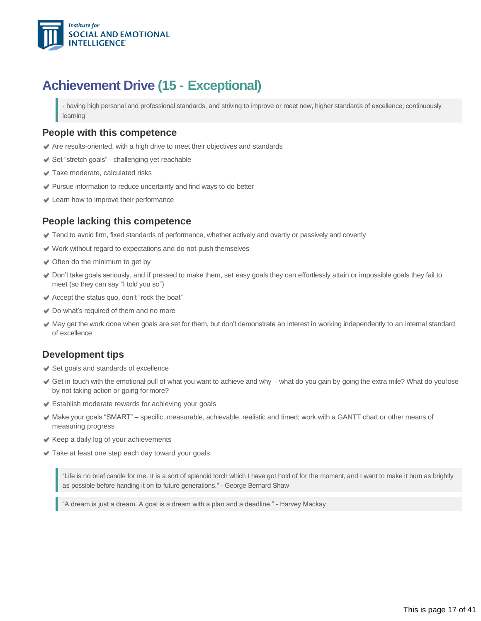

### **Achievement Drive (15 - Exceptional)**

<span id="page-16-0"></span>- having high personal and professional standards, and striving to improve or meet new, higher standards of excellence; continuously learning

#### **People with this competence**

- Are results-oriented, with a high drive to meet their objectives and standards
- Set "stretch goals" challenging yet reachable
- Take moderate, calculated risks
- Pursue information to reduce uncertainty and find ways to do better
- Learn how to improve their performance

#### **People lacking this competence**

- Tend to avoid firm, fixed standards of performance, whether actively and overtly or passively and covertly
- Work without regard to expectations and do not push themselves
- **◆** Often do the minimum to get by
- Don't take goals seriously, and if pressed to make them, set easy goals they can effortlessly attain or impossible goals they fail to meet (so they can say "I told you so")
- Accept the status quo, don't "rock the boat"
- ◆ Do what's required of them and no more
- May get the work done when goals are set for them, but don't demonstrate an interest in working independently to an internal standard of excellence

### **Development tips**

- Set goals and standards of excellence
- Get in touch with the emotional pull of what you want to achieve and why what do you gain by going the extra mile? What do youlose by not taking action or going formore?
- Establish moderate rewards for achieving your goals
- Make your goals "SMART" specific, measurable, achievable, realistic and timed; work with a GANTT chart or other means of measuring progress
- $\blacktriangleright$  Keep a daily log of your achievements
- Take at least one step each day toward your goals

"Life is no brief candle for me. It is a sort of splendid torch which I have got hold of for the moment, and I want to make it burn as brightly as possible before handing it on to future generations." - George Bernard Shaw

"A dream is just a dream. A goal is a dream with a plan and a deadline." - Harvey Mackay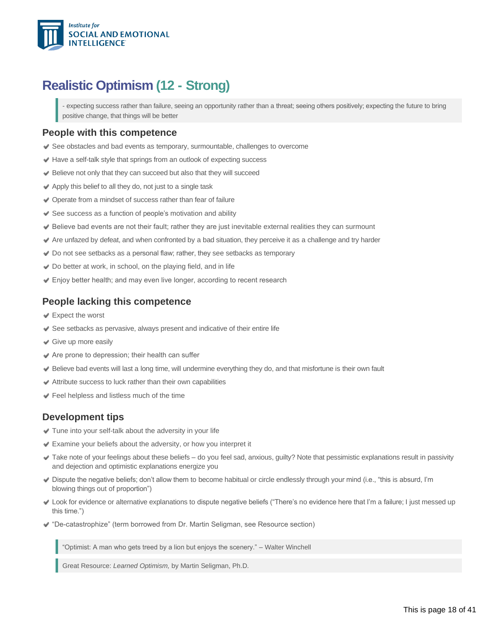

### **Realistic Optimism (12 - Strong)**

<span id="page-17-0"></span>expecting success rather than failure, seeing an opportunity rather than a threat; seeing others positively; expecting the future to bring positive change, that things will be better

#### **People with this competence**

- See obstacles and bad events as temporary, surmountable, challenges to overcome
- Have a self-talk style that springs from an outlook of expecting success
- Believe not only that they can succeed but also that they will succeed
- $\blacktriangleright$  Apply this belief to all they do, not just to a single task
- ◆ Operate from a mindset of success rather than fear of failure
- $\blacktriangleright$  See success as a function of people's motivation and ability
- Believe bad events are not their fault; rather they are just inevitable external realities they can surmount
- Are unfazed by defeat, and when confronted by a bad situation, they perceive it as a challenge and try harder
- Do not see setbacks as a personal flaw; rather, they see setbacks as temporary
- ◆ Do better at work, in school, on the playing field, and in life
- Enjoy better health; and may even live longer, according to recent research

#### **People lacking this competence**

- Expect the worst
- $\blacktriangleright$  See setbacks as pervasive, always present and indicative of their entire life
- Give up more easily
- $\triangleleft$  Are prone to depression; their health can suffer
- Believe bad events will last a long time, will undermine everything they do, and that misfortune is their own fault
- $\blacktriangleright$  Attribute success to luck rather than their own capabilities
- Feel helpless and listless much of the time

### **Development tips**

- Tune into your self-talk about the adversity in your life
- Examine your beliefs about the adversity, or how you interpret it
- Take note of your feelings about these beliefs do you feel sad, anxious, guilty? Note that pessimistic explanations result in passivity and dejection and optimistic explanations energize you
- Dispute the negative beliefs; don't allow them to become habitual or circle endlessly through your mind (i.e., "this is absurd, I'm blowing things out of proportion")
- Look for evidence or alternative explanations to dispute negative beliefs ("There's no evidence here that I'm a failure; I just messed up this time.")
- ◆ "De-catastrophize" (term borrowed from Dr. Martin Seligman, see Resource section)

"Optimist: A man who gets treed by a lion but enjoys the scenery." – Walter Winchell

Great Resource: *Learned Optimism,* by Martin Seligman, Ph.D.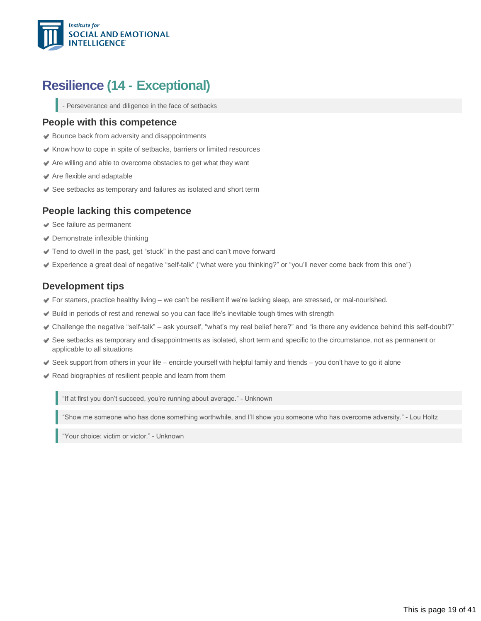

### **Resilience (14 - Exceptional)**

<span id="page-18-0"></span>- Perseverance and diligence in the face of setbacks

#### **People with this competence**

- **◆ Bounce back from adversity and disappointments**
- $\blacktriangleright$  Know how to cope in spite of setbacks, barriers or limited resources
- Are willing and able to overcome obstacles to get what they want
- Are flexible and adaptable
- See setbacks as temporary and failures as isolated and short term

#### **People lacking this competence**

- See failure as permanent
- Demonstrate inflexible thinking
- Tend to dwell in the past, get "stuck" in the past and can't move forward
- Experience a great deal of negative "selftalk" ("what were you thinking?" or "you'll never come back from this one")

#### **Development tips**

- For starters, practice healthy living we can't be resilient if we're lacking sleep, are stressed, or mal-nourished.
- Build in periods of rest and renewal so you can face life's inevitable tough times with strength
- Challenge the negative "self-talk" ask yourself, "what's my real belief here?" and "is there any evidence behind this self-doubt?"
- See setbacks as temporary and disappointments as isolated, short term and specific to the circumstance, not as permanent or applicable to all situations
- Seek support from others in your life encircle yourself with helpful family and friends you don't have to go it alone
- Read biographies of resilient people and learn from them

"If at first you don't succeed, you're running about average." Unknown

"Show me someone who has done something worthwhile, and I'll show you someone who has overcome adversity." Lou Holtz

"Your choice: victim or victor." Unknown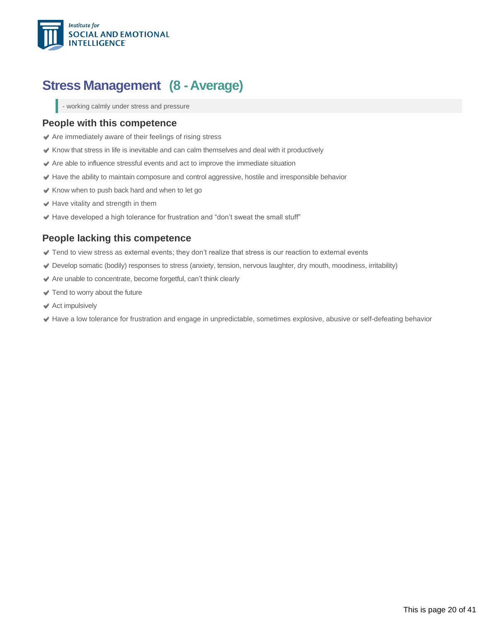

### <span id="page-19-0"></span>**Stress Management (8 -Average)**

- working calmly under stress and pressure

#### **People with this competence**

- Are immediately aware of their feelings of rising stress
- $\blacktriangleright$  Know that stress in life is inevitable and can calm themselves and deal with it productively
- Are able to influence stressful events and act to improve the immediate situation
- Have the ability to maintain composure and control aggressive, hostile and irresponsible behavior
- Know when to push back hard and when to let go
- $\blacktriangleright$  Have vitality and strength in them
- $\blacktriangleright$  Have developed a high tolerance for frustration and "don't sweat the small stuff"

#### **People lacking this competence**

- Tend to view stress as external events; they don't realize that stress is our reaction to external events
- Develop somatic (bodily) responses to stress (anxiety, tension, nervous laughter, dry mouth, moodiness, irritability)
- Are unable to concentrate, become forgetful, can't think clearly
- Tend to worry about the future
- **◆ Act impulsively**
- Have a low tolerance for frustration and engage in unpredictable, sometimes explosive, abusive or self-defeating behavior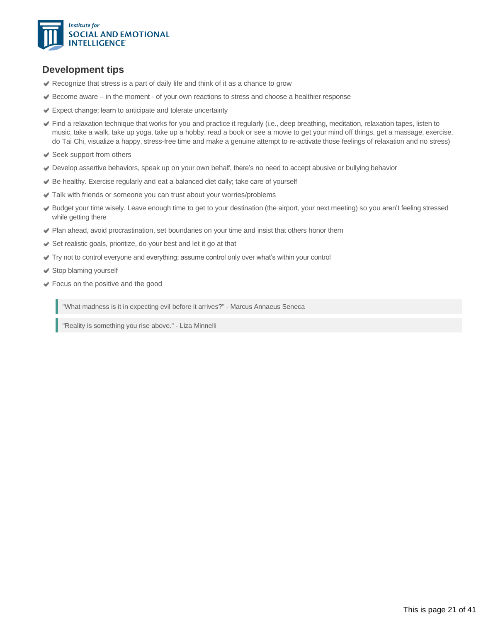

### **Development tips**

- Recognize that stress is a part of daily life and think of it as a chance to grow
- $\blacktriangleright$  Become aware in the moment of your own reactions to stress and choose a healthier response
- Expect change; learn to anticipate and tolerate uncertainty
- Find a relaxation technique that works for you and practice it regularly (i.e., deep breathing, meditation, relaxation tapes, listen to music, take a walk, take up yoga, take up a hobby, read a book or see a movie to get your mind off things, get a massage, exercise, do Tai Chi, visualize a happy, stress-free time and make a genuine attempt to re-activate those feelings of relaxation and no stress)
- Seek support from others
- Develop assertive behaviors, speak up on your own behalf, there's no need to accept abusive or bullying behavior
- Be healthy. Exercise regularly and eat a balanced diet daily; take care of yourself
- Talk with friends or someone you can trust about your worries/problems
- Budget your time wisely. Leave enough time to get to your destination (the airport, your next meeting) so you aren't feeling stressed while getting there
- Plan ahead, avoid procrastination, set boundaries on your time and insist that others honor them
- Set realistic goals, prioritize, do your best and let it go at that
- Try not to control everyone and everything; assume control only over what's within your control
- Stop blaming yourself
- Focus on the positive and the good

"What madness is it in expecting evil before it arrives?" - Marcus Annaeus Seneca

"Reality is something you rise above." - Liza Minnelli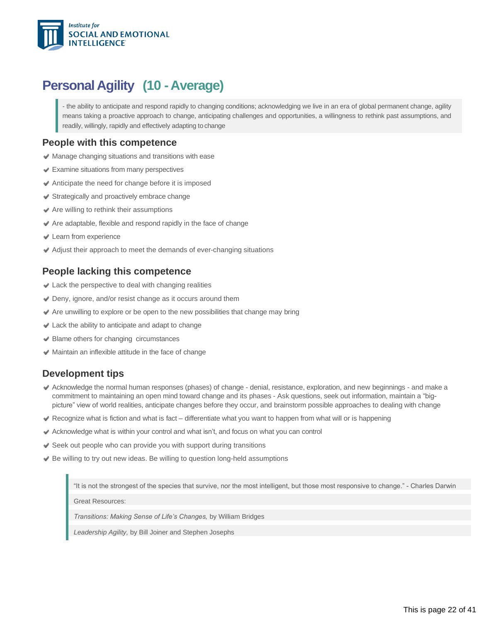

### <span id="page-21-0"></span>**Personal Agility (10 - Average)**

- the ability to anticipate and respond rapidly to changing conditions; acknowledging we live in an era of global permanent change, agility means taking a proactive approach to change, anticipating challenges and opportunities, a willingness to rethink past assumptions, and readily, willingly, rapidly and effectively adapting to change

#### **People with this competence**

- Manage changing situations and transitions with ease
- Examine situations from many perspectives
- Anticipate the need for change before it is imposed
- $\blacktriangleright$  Strategically and proactively embrace change
- $\blacktriangleright$  Are willing to rethink their assumptions
- Are adaptable, flexible and respond rapidly in the face of change
- Learn from experience
- Adjust their approach to meet the demands of ever-changing situations

#### **People lacking this competence**

- Lack the perspective to deal with changing realities
- Deny, ignore, and/or resist change as it occurs around them
- $\blacktriangleright$  Are unwilling to explore or be open to the new possibilities that change may bring
- $\triangleleft$  Lack the ability to anticipate and adapt to change
- Blame others for changing circumstances
- $\blacktriangleright$  Maintain an inflexible attitude in the face of change

#### **Development tips**

- Acknowledge the normal human responses (phases) of change denial, resistance, exploration, and new beginnings and make a commitment to maintaining an open mind toward change and its phases - Ask questions, seek out information, maintain a "bigpicture" view of world realities, anticipate changes before they occur, and brainstorm possible approaches to dealing with change
- Recognize what is fiction and what is fact differentiate what you want to happen from what will or is happening
- Acknowledge what is within your control and what isn't, and focus on what you can control
- $\blacktriangleright$  Seek out people who can provide you with support during transitions
- $\blacktriangleright$  Be willing to try out new ideas. Be willing to question long-held assumptions

"It is not the strongest of the species that survive, nor the most intelligent, but those most responsive to change." Charles Darwin

Great Resources:

*Transitions: Making Sense of Life's Changes,* by William Bridges

*Leadership Agility,* by Bill Joiner and Stephen Josephs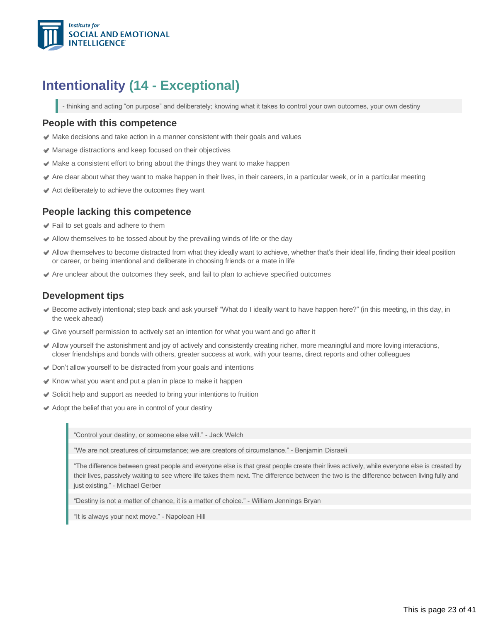

### <span id="page-22-0"></span>**Intentionality (14 - Exceptional)**

- thinking and acting "on purpose" and deliberately; knowing what it takes to control your own outcomes, your own destiny

#### **People with this competence**

- $\blacktriangleright$  Make decisions and take action in a manner consistent with their goals and values
- Manage distractions and keep focused on their objectives
- $\blacktriangleright$  Make a consistent effort to bring about the things they want to make happen
- Are clear about what they want to make happen in their lives, in their careers, in a particular week, or in a particular meeting
- Act deliberately to achieve the outcomes they want

#### **People lacking this competence**

- **■** Fail to set goals and adhere to them
- Allow themselves to be tossed about by the prevailing winds of life or the day
- Allow themselves to become distracted from what they ideally want to achieve, whether that's their ideal life, finding their ideal position or career, or being intentional and deliberate in choosing friends or a mate in life
- $\blacktriangleright$  Are unclear about the outcomes they seek, and fail to plan to achieve specified outcomes

#### **Development tips**

- Become actively intentional; step back and ask yourself "What do I ideally want to have happen here?" (in this meeting, in this day, in the week ahead)
- Give yourself permission to actively set an intention for what you want and go after it
- Allow yourself the astonishment and joy of actively and consistently creating richer, more meaningful and more loving interactions, closer friendships and bonds with others, greater success at work, with your teams, direct reports and other colleagues
- ◆ Don't allow yourself to be distracted from your goals and intentions
- $\blacktriangleright$  Know what you want and put a plan in place to make it happen
- Solicit help and support as needed to bring your intentions to fruition
- $\blacktriangleright$  Adopt the belief that you are in control of your destiny

"Control your destiny, or someone else will." - Jack Welch

"We are not creatures of circumstance; we are creators of circumstance." - Benjamin Disraeli

"The difference between great people and everyone else is that great people create their lives actively, while everyone else is created by their lives, passively waiting to see where life takes them next. The difference between the two is the difference between living fully and just existing." - Michael Gerber

"Destiny is not a matter of chance, it is a matter of choice." William Jennings Bryan

"It is always your next move." Napolean Hill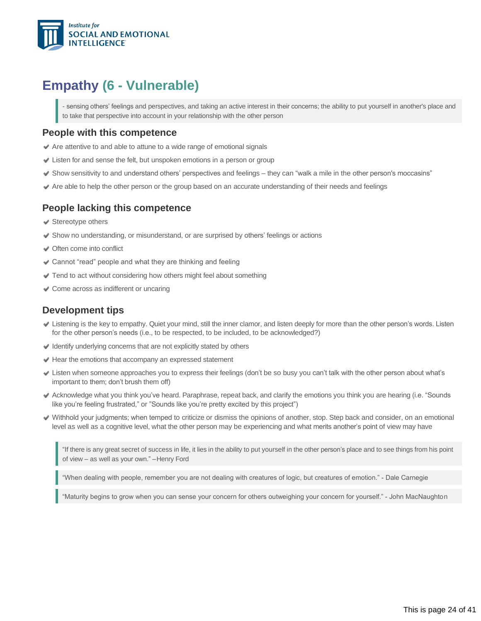

### <span id="page-23-0"></span>**Empathy (6 - Vulnerable)**

sensing others' feelings and perspectives, and taking an active interest in their concerns; the ability to put yourself in another's place and to take that perspective into account in your relationship with the other person

#### **People with this competence**

- Are attentive to and able to attune to a wide range of emotional signals
- Listen for and sense the felt, but unspoken emotions in a person or group
- $\blacktriangleright$  Show sensitivity to and understand others' perspectives and feelings they can "walk a mile in the other person's moccasins"
- Are able to help the other person or the group based on an accurate understanding of their needs and feelings

#### **People lacking this competence**

- **◆ Stereotype others**
- Show no understanding, or misunderstand, or are surprised by others' feelings or actions
- Often come into conflict
- Cannot "read" people and what they are thinking and feeling
- ◆ Tend to act without considering how others might feel about something
- Come across as indifferent or uncaring

#### **Development tips**

- Listening is the key to empathy. Quiet your mind, still the inner clamor, and listen deeply for more than the other person's words. Listen for the other person's needs (i.e., to be respected, to be included, to be acknowledged?)
- $\blacktriangleright$  Identify underlying concerns that are not explicitly stated by others
- $\blacktriangleright$  Hear the emotions that accompany an expressed statement
- Listen when someone approaches you to express their feelings (don't be so busy you can't talk with the other person about what's important to them; don't brush them off)
- Acknowledge what you think you've heard. Paraphrase, repeat back, and clarify the emotions you think you are hearing (i.e. "Sounds like you're feeling frustrated," or "Sounds like you're pretty excited by this project")
- Withhold your judgments; when temped to criticize or dismiss the opinions of another, stop. Step back and consider, on an emotional level as well as a cognitive level, what the other person may be experiencing and what merits another's point of view may have

"If there is any great secret of success in life, it lies in the ability to put yourself in the other person's place and to see things from his point of view – as well as your own." –Henry Ford

"When dealing with people, remember you are not dealing with creatures of logic, but creatures of emotion." Dale Carnegie

'Maturity begins to grow when you can sense your concern for others outweighing your concern for yourself." - John MacNaughton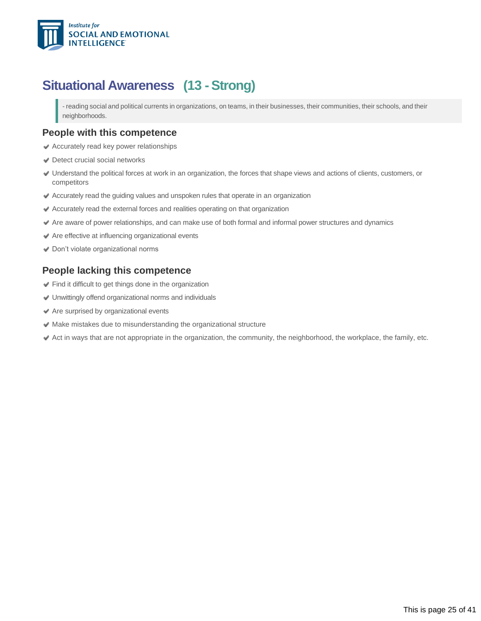

### <span id="page-24-0"></span>**Situational Awareness (13 -Strong)**

- reading social and political currents in organizations, on teams, in their businesses, their communities, their schools, and their neighborhoods.

#### **People with this competence**

- Accurately read key power relationships
- **Detect crucial social networks**
- Understand the political forces at work in an organization, the forces that shape views and actions of clients, customers, or competitors
- Accurately read the guiding values and unspoken rules that operate in an organization
- Accurately read the external forces and realities operating on that organization
- Are aware of power relationships, and can make use of both formal and informal power structures and dynamics
- Are effective at influencing organizational events
- ◆ Don't violate organizational norms

#### **People lacking this competence**

- Find it difficult to get things done in the organization
- Unwittingly offend organizational norms and individuals
- Are surprised by organizational events
- $\blacktriangleright$  Make mistakes due to misunderstanding the organizational structure
- $\blacktriangleright$  Act in ways that are not appropriate in the organization, the community, the neighborhood, the workplace, the family, etc.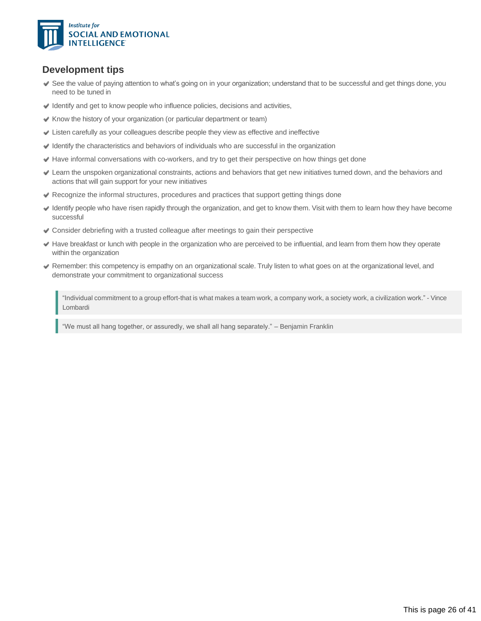

#### **Development tips**

- See the value of paying attention to what's going on in your organization; understand that to be successful and get things done, you need to be tuned in
- $\blacktriangleright$  Identify and get to know people who influence policies, decisions and activities,
- $\blacktriangleright$  Know the history of your organization (or particular department or team)
- Listen carefully as your colleagues describe people they view as effective and ineffective
- $\blacktriangleright$  Identify the characteristics and behaviors of individuals who are successful in the organization
- Have informal conversations with co-workers, and try to get their perspective on how things get done
- Learn the unspoken organizational constraints, actions and behaviors that get new initiatives turned down, and the behaviors and actions that will gain support for your new initiatives
- Recognize the informal structures, procedures and practices that support getting things done
- Identify people who have risen rapidly through the organization, and get to know them. Visit with them to learn how they have become successful
- Consider debriefing with a trusted colleague after meetings to gain their perspective
- Have breakfast or lunch with people in the organization who are perceived to be influential, and learn from them how they operate within the organization
- Remember: this competency is empathy on an organizational scale. Truly listen to what goes on at the organizational level, and demonstrate your commitment to organizational success

"Individual commitment to a group effort-that is what makes a team work, a company work, a society work, a civilization work." - Vince Lombardi

"We must all hang together, or assuredly, we shall all hang separately." – Benjamin Franklin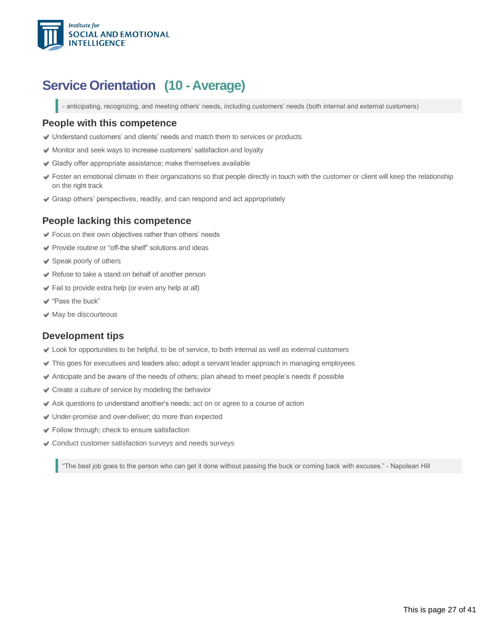

### **Service Orientation (10 - Average)**

- anticipating, recognizing, and meeting others' needs, including customers' needs (both internal and external customers)

#### **People with this competence**

- Understand customers' and clients' needs and match them to services or products
- Monitor and seek ways to increase customers' satisfaction and loyalty
- Gladly offer appropriate assistance; make themselves available
- Foster an emotional climate in their organizations so that people directly in touch with the customer or client will keep the relationship on the right track
- Grasp others' perspectives, readily, and can respond and act appropriately

#### **People lacking this competence**

- Focus on their own objectives rather than others' needs
- $\blacktriangleright$  Provide routine or "off-the shelf" solutions and ideas
- Speak poorly of others
- Refuse to take a stand on behalf of another person
- Fail to provide extra help (or even any help at all)
- "Pass the buck"
- $\blacktriangleright$  May be discourteous

#### **Development tips**

- Look for opportunities to be helpful, to be of service, to both internal as well as external customers
- This goes for executives and leaders also; adopt a servant leader approach in managing employees
- Anticipate and be aware of the needs of others; plan ahead to meet people's needs if possible
- Create a culture of service by modeling the behavior
- Ask questions to understand another's needs; act on or agree to a course of action
- Under-promise and overdeliver; do more than expected
- Follow through; check to ensure satisfaction
- Conduct customer satisfaction surveys and needs surveys

"The best job goes to the person who can get it done without passing the buck or coming back with excuses." Napolean Hill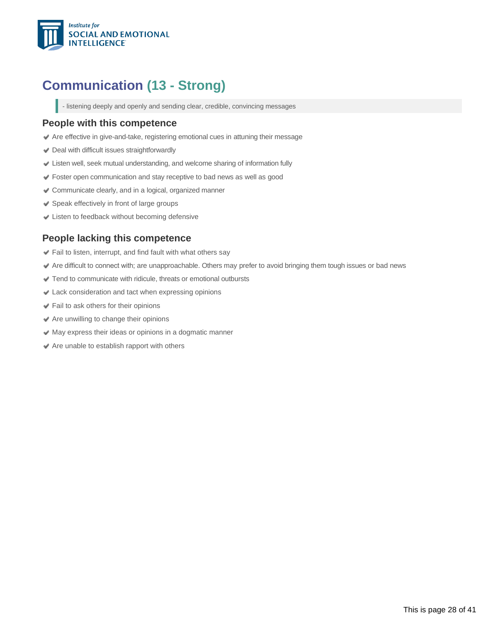

## <span id="page-27-0"></span>**Communication (13 - Strong)**

- listening deeply and openly and sending clear, credible, convincing messages

#### **People with this competence**

- Are effective in give-and-take, registering emotional cues in attuning their message
- Deal with difficult issues straightforwardly
- Listen well, seek mutual understanding, and welcome sharing of information fully
- Foster open communication and stay receptive to bad news as well as good
- Communicate clearly, and in a logical, organized manner
- ◆ Speak effectively in front of large groups
- Listen to feedback without becoming defensive

#### **People lacking this competence**

- $\blacktriangleright$  Fail to listen, interrupt, and find fault with what others say
- Are difficult to connect with; are unapproachable. Others may prefer to avoid bringing them tough issues or bad news
- Tend to communicate with ridicule, threats or emotional outbursts
- Lack consideration and tact when expressing opinions
- Fail to ask others for their opinions
- Are unwilling to change their opinions
- May express their ideas or opinions in a dogmatic manner
- $\triangleleft$  Are unable to establish rapport with others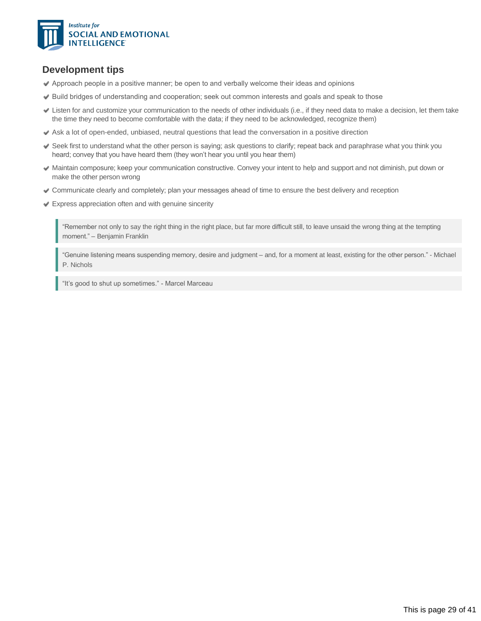

#### **Development tips**

- Approach people in a positive manner; be open to and verbally welcome their ideas and opinions
- Build bridges of understanding and cooperation; seek out common interests and goals and speak to those
- Listen for and customize your communication to the needs of other individuals (i.e., if they need data to make a decision, let them take the time they need to become comfortable with the data; if they need to be acknowledged, recognize them)
- Ask a lot of open-ended, unbiased, neutral questions that lead the conversation in a positive direction
- Seek first to understand what the other person is saying; ask questions to clarify; repeat back and paraphrase what you think you heard; convey that you have heard them (they won't hear you until you hear them)
- Maintain composure; keep your communication constructive. Convey your intent to help and support and not diminish, put down or make the other person wrong
- Communicate clearly and completely; plan your messages ahead of time to ensure the best delivery and reception
- Express appreciation often and with genuine sincerity

"Remember not only to say the right thing in the right place, but far more difficult still, to leave unsaid the wrong thing at the tempting moment." – Benjamin Franklin

"Genuine listening means suspending memory, desire and judgment – and, for a moment at least, existing for the other person." - Michael P. Nichols

"It's good to shut up sometimes." - Marcel Marceau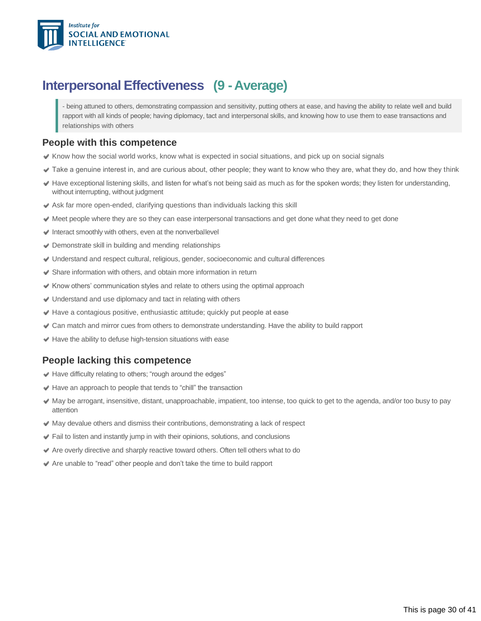

### <span id="page-29-0"></span>**Interpersonal Effectiveness (9 -Average)**

- being attuned to others, demonstrating compassion and sensitivity, putting others at ease, and having the ability to relate well and build rapport with all kinds of people; having diplomacy, tact and interpersonal skills, and knowing how to use them to ease transactions and relationships with others

#### **People with this competence**

- $\blacktriangleright$  Know how the social world works, know what is expected in social situations, and pick up on social signals
- Take a genuine interest in, and are curious about, other people; they want to know who they are, what they do, and how they think
- Have exceptional listening skills, and listen for what's not being said as much as for the spoken words; they listen for understanding, without interrupting, without judgment
- Ask far more open-ended, clarifying questions than individuals lacking this skill
- Meet people where they are so they can ease interpersonal transactions and get done what they need to get done
- $\blacktriangleright$  Interact smoothly with others, even at the nonverballevel
- Demonstrate skill in building and mending relationships
- Understand and respect cultural, religious, gender, socioeconomic and cultural differences
- Share information with others, and obtain more information in return
- $\blacktriangleright$  Know others' communication styles and relate to others using the optimal approach
- Understand and use diplomacy and tact in relating with others
- $\blacktriangleright$  Have a contagious positive, enthusiastic attitude; quickly put people at ease
- Can match and mirror cues from others to demonstrate understanding. Have the ability to build rapport
- $\blacktriangleright$  Have the ability to defuse high-tension situations with ease

#### **People lacking this competence**

- Have difficulty relating to others; "rough around the edges"
- Have an approach to people that tends to "chill" the transaction
- May be arrogant, insensitive, distant, unapproachable, impatient, too intense, too quick to get to the agenda, and/or too busy to pay attention
- $\blacktriangleright$  May devalue others and dismiss their contributions, demonstrating a lack of respect
- Fail to listen and instantly jump in with their opinions, solutions, and conclusions
- Are overly directive and sharply reactive toward others. Often tell others what to do
- Are unable to "read" other people and don't take the time to build rapport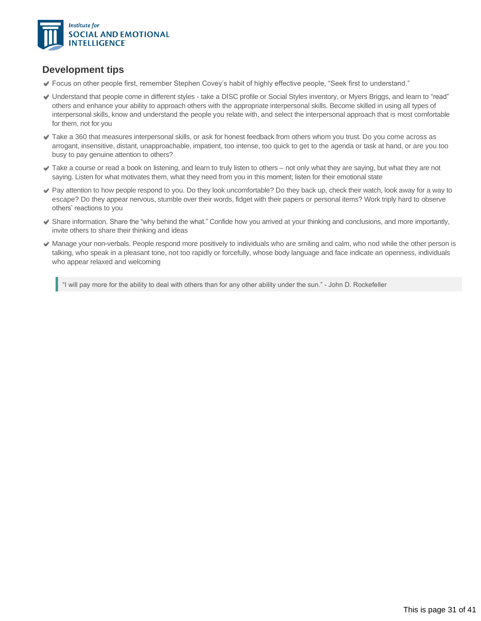

### **Development tips**

- Focus on other people first, remember Stephen Covey's habit of highly effective people, "Seek first to understand."
- Understand that people come in different styles take a DISC profile or Social Styles inventory, or Myers Briggs, and learn to "read" others and enhance your ability to approach others with the appropriate interpersonal skills. Become skilled in using all types of interpersonal skills, know and understand the people you relate with, and select the interpersonal approach that is most comfortable for them, not for you
- Take a 360 that measures interpersonal skills, or ask for honest feedback from others whom you trust. Do you come across as arrogant, insensitive, distant, unapproachable, impatient, too intense, too quick to get to the agenda or task at hand, or are you too busy to pay genuine attention to others?
- Take a course or read a book on listening, and learn to truly listen to others not only what they are saying, but what they are not saying. Listen for what motivates them, what they need from you in this moment; listen for their emotional state
- Pay attention to how people respond to you. Do they look uncomfortable? Do they back up, check their watch, look away for a way to escape? Do they appear nervous, stumble over their words, fidget with their papers or personal items? Work triply hard to observe others' reactions to you
- Share information. Share the "why behind the what." Confide how you arrived at your thinking and conclusions, and more importantly, invite others to share their thinking and ideas
- Manage your non-verbals. People respond more positively to individuals who are smiling and calm, who nod while the other person is talking, who speak in a pleasant tone, not too rapidly or forcefully, whose body language and face indicate an openness, individuals who appear relaxed and welcoming

"I will pay more for the ability to deal with others than for any other ability under the sun." John D. Rockefeller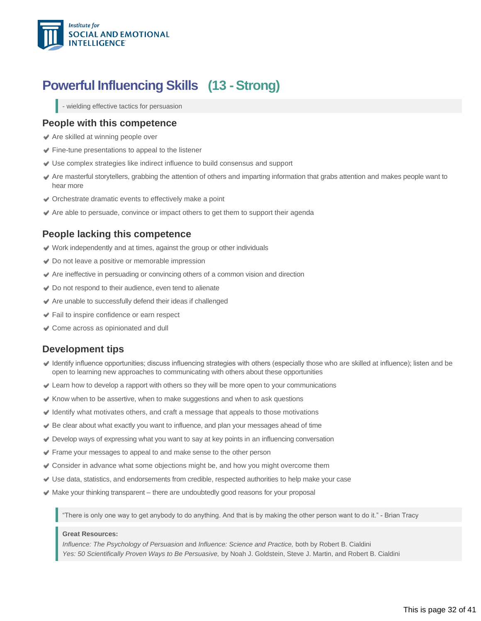

### <span id="page-31-0"></span>**Powerful Influencing Skills (13 -Strong)**

- wielding effective tactics for persuasion

#### **People with this competence**

- Are skilled at winning people over
- $\blacktriangleright$  Fine-tune presentations to appeal to the listener
- Use complex strategies like indirect influence to build consensus and support
- Are masterful storytellers, grabbing the attention of others and imparting information that grabs attention and makes people want to hear more
- Orchestrate dramatic events to effectively make a point
- $\blacktriangleright$  Are able to persuade, convince or impact others to get them to support their agenda

#### **People lacking this competence**

- Work independently and at times, against the group or other individuals
- **◆** Do not leave a positive or memorable impression
- Are ineffective in persuading or convincing others of a common vision and direction
- ◆ Do not respond to their audience, even tend to alienate
- Are unable to successfully defend their ideas if challenged
- Fail to inspire confidence or earn respect
- Come across as opinionated and dull

#### **Development tips**

- Identify influence opportunities; discuss influencing strategies with others (especially those who are skilled at influence); listen and be open to learning new approaches to communicating with others about these opportunities
- Learn how to develop a rapport with others so they will be more open to your communications
- $\blacktriangleright$  Know when to be assertive, when to make suggestions and when to ask questions
- $\blacktriangleright$  Identify what motivates others, and craft a message that appeals to those motivations
- Be clear about what exactly you want to influence, and plan your messages ahead of time
- Develop ways of expressing what you want to say at key points in an influencing conversation
- Frame your messages to appeal to and make sense to the other person
- Consider in advance what some objections might be, and how you might overcome them
- Use data, statistics, and endorsements from credible, respected authorities to help make your case
- $\blacktriangleright$  Make your thinking transparent there are undoubtedly good reasons for your proposal

"There is only one way to get anybody to do anything. And that is by making the other person want to do it." Brian Tracy

#### **Great Resources:**

*Influence: The Psychology of Persuasion* and *Influence: Science and Practice,* both by Robert B. Cialdini *Yes: 50 Scientifically Proven Ways to Be Persuasive,* by Noah J. Goldstein, Steve J. Martin, and Robert B. Cialdini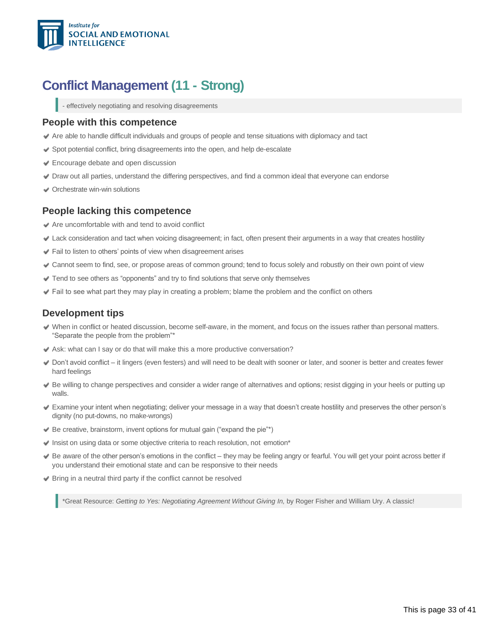

### **Conflict Management (11 - Strong)**

<span id="page-32-0"></span>- effectively negotiating and resolving disagreements

#### **People with this competence**

- Are able to handle difficult individuals and groups of people and tense situations with diplomacy and tact
- Spot potential conflict, bring disagreements into the open, and help de-escalate
- **Encourage debate and open discussion**
- Draw out all parties, understand the differing perspectives, and find a common ideal that everyone can endorse
- Orchestrate win-win solutions

#### **People lacking this competence**

- Are uncomfortable with and tend to avoid conflict
- Lack consideration and tact when voicing disagreement; in fact, often present their arguments in a way that creates hostility
- Fail to listen to others' points of view when disagreement arises
- Cannot seem to find, see, or propose areas of common ground; tend to focus solely and robustly on their own point of view
- Tend to see others as "opponents" and try to find solutions that serve only themselves
- $\blacktriangleright$  Fail to see what part they may play in creating a problem; blame the problem and the conflict on others

#### **Development tips**

- When in conflict or heated discussion, become self-aware, in the moment, and focus on the issues rather than personal matters. "Separate the people from the problem"\*
- Ask: what can I say or do that will make this a more productive conversation?
- Don't avoid conflict it lingers (even festers) and will need to be dealt with sooner or later, and sooner is better and creates fewer hard feelings
- Be willing to change perspectives and consider a wider range of alternatives and options; resist digging in your heels or putting up walls.
- Examine your intent when negotiating; deliver your message in a way that doesn't create hostility and preserves the other person's dignity (no put-downs, no make-wrongs)
- $\blacktriangleright$  Be creative, brainstorm, invent options for mutual gain ("expand the pie"\*)
- $\blacktriangleright$  Insist on using data or some objective criteria to reach resolution, not emotion\*
- Be aware of the other person's emotions in the conflict they may be feeling angry or fearful. You will get your point across better if you understand their emotional state and can be responsive to their needs
- Bring in a neutral third party if the conflict cannot be resolved

\*Great Resource: *Getting to Yes: Negotiating Agreement Without Giving In,* by Roger Fisher and William Ury. A classic!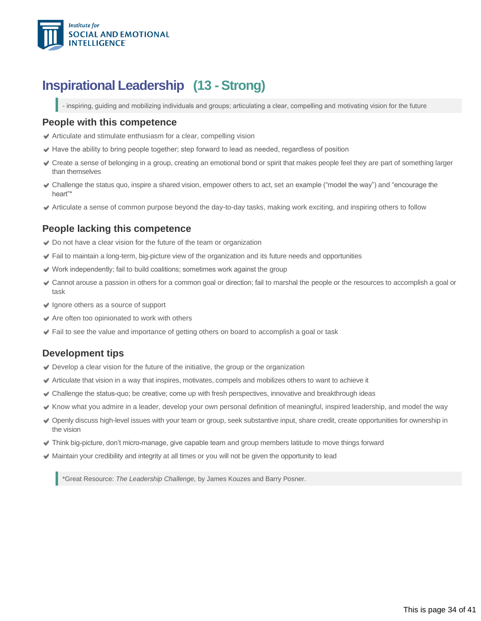

### **Inspirational Leadership (13 - Strong)**

<span id="page-33-0"></span>- inspiring, guiding and mobilizing individuals and groups; articulating a clear, compelling and motivating vision for the future

#### **People with this competence**

- $\blacktriangleright$  Articulate and stimulate enthusiasm for a clear, compelling vision
- $\blacktriangleright$  Have the ability to bring people together; step forward to lead as needed, regardless of position
- Create a sense of belonging in a group, creating an emotional bond or spirit that makes people feel they are part of something larger than themselves
- Challenge the status quo, inspire a shared vision, empower others to act, set an example ("model the way") and "encourage the heart"\*
- Articulate a sense of common purpose beyond the day-to-day tasks, making work exciting, and inspiring others to follow

#### **People lacking this competence**

- ◆ Do not have a clear vision for the future of the team or organization
- Fail to maintain a long-term, big-picture view of the organization and its future needs and opportunities
- $\blacktriangleright$  Work independently; fail to build coalitions; sometimes work against the group
- Cannot arouse a passion in others for a common goal or direction; fail to marshal the people or the resources to accomplish a goal or task
- Ignore others as a source of support
- Are often too opinionated to work with others
- Fail to see the value and importance of getting others on board to accomplish a goal or task

#### **Development tips**

- $\blacktriangleright$  Develop a clear vision for the future of the initiative, the group or the organization
- Articulate that vision in a way that inspires, motivates, compels and mobilizes others to want to achieve it
- Challenge the status-quo; be creative; come up with fresh perspectives, innovative and breakthrough ideas
- Know what you admire in a leader, develop your own personal definition of meaningful, inspired leadership, and model the way
- Openly discuss high-level issues with your team or group, seek substantive input, share credit, create opportunities for ownership in the vision
- $\blacktriangleright$  Think big-picture, don't micro-manage, give capable team and group members latitude to move things forward
- Maintain your credibility and integrity at all times or you will not be given the opportunity to lead

\*Great Resource: *The Leadership Challenge,* by James Kouzes and Barry Posner.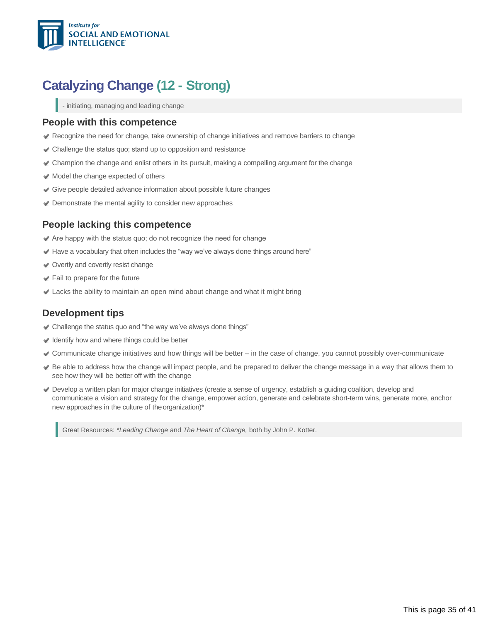

## **Catalyzing Change (12 - Strong)**

<span id="page-34-0"></span>- initiating, managing and leading change

#### **People with this competence**

- $\blacktriangleright$  Recognize the need for change, take ownership of change initiatives and remove barriers to change
- Challenge the status quo; stand up to opposition and resistance
- Champion the change and enlist others in its pursuit, making a compelling argument for the change
- $\blacktriangleright$  Model the change expected of others
- Give people detailed advance information about possible future changes
- Demonstrate the mental agility to consider new approaches

#### **People lacking this competence**

- $\blacktriangleright$  Are happy with the status quo; do not recognize the need for change
- $\blacktriangleright$  Have a vocabulary that often includes the "way we've always done things around here"
- Overtly and covertly resist change
- Fail to prepare for the future
- Lacks the ability to maintain an open mind about change and what it might bring

#### **Development tips**

- Challenge the status quo and "the way we've always done things"
- $\blacktriangleright$  Identify how and where things could be better
- Communicate change initiatives and how things will be better in the case of change, you cannot possibly over-communicate
- Be able to address how the change will impact people, and be prepared to deliver the change message in a way that allows them to see how they will be better off with the change
- Develop a written plan for major change initiatives (create a sense of urgency, establish a guiding coalition, develop and communicate a vision and strategy for the change, empower action, generate and celebrate short-term wins, generate more, anchor new approaches in the culture of the organization)\*

Great Resources: *\*Leading Change* and *The Heart of Change,* both by John P. Kotter.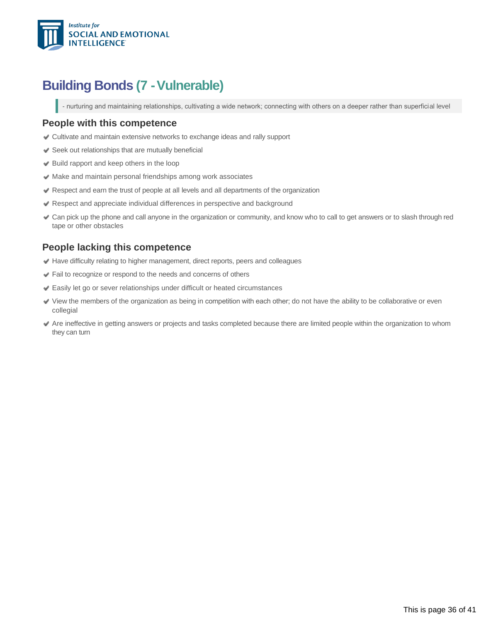

### <span id="page-35-0"></span>**Building Bonds (7 -Vulnerable)**

- nurturing and maintaining relationships, cultivating a wide network; connecting with others on a deeper rather than superficial level

#### **People with this competence**

- Cultivate and maintain extensive networks to exchange ideas and rally support
- $\blacktriangleright$  Seek out relationships that are mutually beneficial
- ◆ Build rapport and keep others in the loop
- $\blacktriangleright$  Make and maintain personal friendships among work associates
- Respect and earn the trust of people at all levels and all departments of the organization
- Respect and appreciate individual differences in perspective and background
- Can pick up the phone and call anyone in the organization or community, and know who to call to get answers or to slash through red tape or other obstacles

#### **People lacking this competence**

- Have difficulty relating to higher management, direct reports, peers and colleagues
- Fail to recognize or respond to the needs and concerns of others
- Easily let go or sever relationships under difficult or heated circumstances
- View the members of the organization as being in competition with each other; do not have the ability to be collaborative or even collegial
- Are ineffective in getting answers or projects and tasks completed because there are limited people within the organization to whom they can turn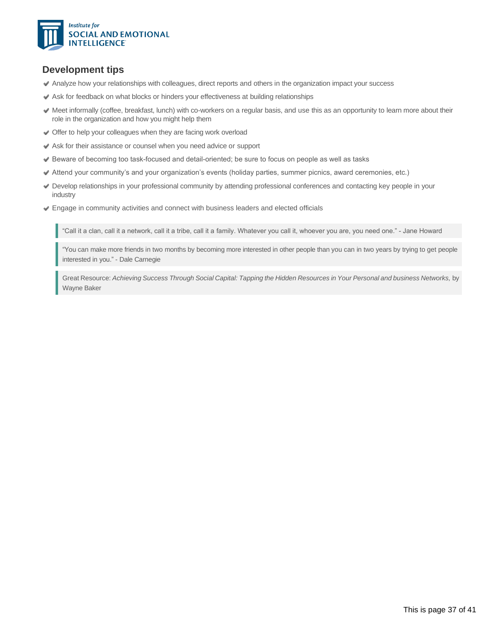

#### **Development tips**

- Analyze how your relationships with colleagues, direct reports and others in the organization impact your success
- Ask for feedback on what blocks or hinders your effectiveness at building relationships
- Meet informally (coffee, breakfast, lunch) with co-workers on a regular basis, and use this as an opportunity to learn more about their role in the organization and how you might help them
- Offer to help your colleagues when they are facing work overload
- Ask for their assistance or counsel when you need advice or support
- Beware of becoming too task-focused and detail-oriented; be sure to focus on people as well as tasks
- Attend your community's and your organization's events (holiday parties, summer picnics, award ceremonies, etc.)
- Develop relationships in your professional community by attending professional conferences and contacting key people in your industry
- Engage in community activities and connect with business leaders and elected officials

"Call it a clan, call it a network, call it a tribe, call it a family. Whatever you call it, whoever you are, you need one." Jane Howard

"You can make more friends in two months by becoming more interested in other people than you can in two years by trying to get people interested in you." - Dale Carnegie

Great Resource: Achieving Success Through Social Capital: Tapping the Hidden Resources in Your Personal and business Networks, by Wayne Baker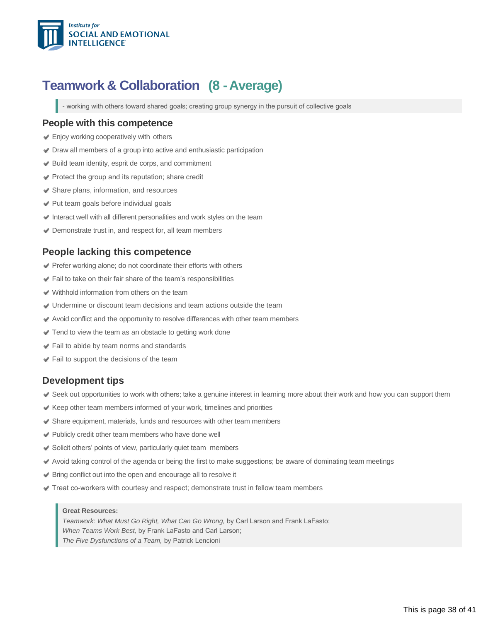

### <span id="page-37-0"></span>**Teamwork & Collaboration (8 -Average)**

- working with others toward shared goals; creating group synergy in the pursuit of collective goals

#### **People with this competence**

- **Enjoy working cooperatively with others**
- Draw all members of a group into active and enthusiastic participation
- Build team identity, esprit de corps, and commitment
- Protect the group and its reputation; share credit
- Share plans, information, and resources
- Put team goals before individual goals
- $\blacktriangleright$  Interact well with all different personalities and work styles on the team
- Demonstrate trust in, and respect for, all team members

#### **People lacking this competence**

- Prefer working alone; do not coordinate their efforts with others
- Fail to take on their fair share of the team's responsibilities
- Withhold information from others on the team
- Undermine or discount team decisions and team actions outside the team
- Avoid conflict and the opportunity to resolve differences with other team members
- **■** Tend to view the team as an obstacle to getting work done
- Fail to abide by team norms and standards
- $\blacktriangleright$  Fail to support the decisions of the team

#### **Development tips**

- Seek out opportunities to work with others; take a genuine interest in learning more about their work and how you can support them
- $\blacktriangleright$  Keep other team members informed of your work, timelines and priorities
- Share equipment, materials, funds and resources with other team members
- ◆ Publicly credit other team members who have done well
- Solicit others' points of view, particularly quiet team members
- Avoid taking control of the agenda or being the first to make suggestions; be aware of dominating team meetings
- Bring conflict out into the open and encourage all to resolve it
- Treat coworkers with courtesy and respect; demonstrate trust in fellow team members

#### **Great Resources:**

*Teamwork: What Must Go Right, What Can Go Wrong,* by Carl Larson and Frank LaFasto; *When Teams Work Best,* by Frank LaFasto and Carl Larson; *The Five Dysfunctions of a Team,* by Patrick Lencioni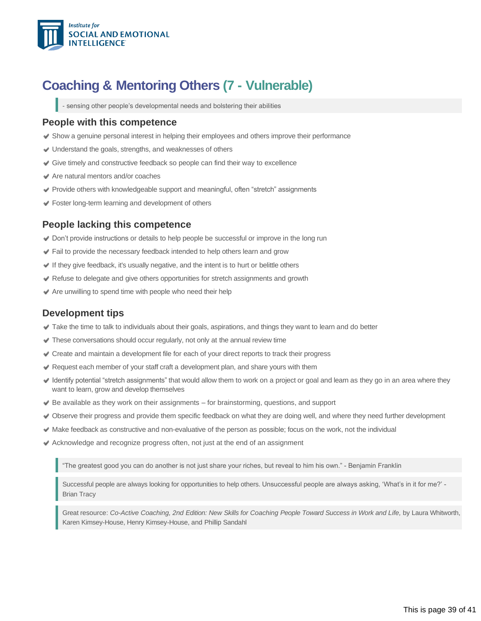

### **Coaching & Mentoring Others (7 - Vulnerable)**

<span id="page-38-0"></span>- sensing other people's developmental needs and bolstering their abilities

#### **People with this competence**

- $\blacktriangleright$  Show a genuine personal interest in helping their employees and others improve their performance
- Understand the goals, strengths, and weaknesses of others
- Give timely and constructive feedback so people can find their way to excellence
- Are natural mentors and/or coaches
- Provide others with knowledgeable support and meaningful, often "stretch" assignments
- Foster long-term learning and development of others

#### **People lacking this competence**

- Don't provide instructions or details to help people be successful or improve in the long run
- Fail to provide the necessary feedback intended to help others learn and grow
- $\blacktriangleright$  If they give feedback, it's usually negative, and the intent is to hurt or belittle others
- Refuse to delegate and give others opportunities for stretch assignments and growth
- $\blacktriangleright$  Are unwilling to spend time with people who need their help

#### **Development tips**

- Take the time to talk to individuals about their goals, aspirations, and things they want to learn and do better
- These conversations should occur regularly, not only at the annual review time
- Create and maintain a development file for each of your direct reports to track their progress
- Request each member of your staff craft a development plan, and share yours with them
- Identify potential "stretch assignments" that would allow them to work on a project or goal and learn as they go in an area where they want to learn, grow and develop themselves
- $\blacktriangleright$  Be available as they work on their assignments for brainstorming, questions, and support
- Observe their progress and provide them specific feedback on what they are doing well, and where they need further development
- $\blacktriangleright$  Make feedback as constructive and non-evaluative of the person as possible; focus on the work, not the individual
- Acknowledge and recognize progress often, not just at the end of an assignment

"The greatest good you can do another is not just share your riches, but reveal to him his own." - Benjamin Franklin

Successful people are always looking for opportunities to help others. Unsuccessful people are always asking, 'What's in it for me?' Brian Tracy

Great resource: Co-Active Coaching, 2nd Edition: New Skills for Coaching People Toward Success in Work and Life, by Laura Whitworth, Karen Kimsey-House, Henry Kimsey-House, and Phillip Sandahl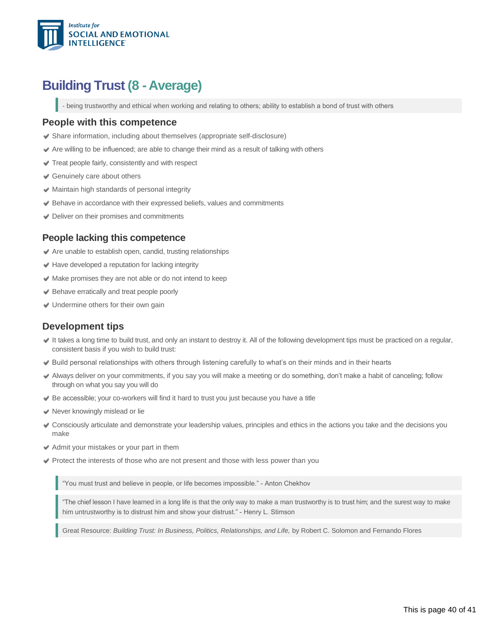

### **Building Trust (8 - Average)**

<span id="page-39-0"></span>- being trustworthy and ethical when working and relating to others; ability to establish a bond of trust with others

#### **People with this competence**

- Share information, including about themselves (appropriate self-disclosure)
- $\blacktriangleright$  Are willing to be influenced; are able to change their mind as a result of talking with others
- Treat people fairly, consistently and with respect
- Genuinely care about others
- Maintain high standards of personal integrity
- Behave in accordance with their expressed beliefs, values and commitments
- **●** Deliver on their promises and commitments

#### **People lacking this competence**

- Are unable to establish open, candid, trusting relationships
- $\blacktriangleright$  Have developed a reputation for lacking integrity
- Make promises they are not able or do not intend to keep
- **Behave erratically and treat people poorly**
- Undermine others for their own gain

### **Development tips**

- It takes a long time to build trust, and only an instant to destroy it. All of the following development tips must be practiced on a regular, consistent basis if you wish to build trust:
- Build personal relationships with others through listening carefully to what's on their minds and in their hearts
- Always deliver on your commitments, if you say you will make a meeting or do something, don't make a habit of canceling; follow through on what you say you will do
- $\blacktriangleright$  Be accessible; your co-workers will find it hard to trust you just because you have a title
- **◆ Never knowingly mislead or lie**
- Consciously articulate and demonstrate your leadership values, principles and ethics in the actions you take and the decisions you make
- Admit your mistakes or your part in them
- Protect the interests of those who are not present and those with less power than you

"You must trust and believe in people, or life becomes impossible." Anton Chekhov

"The chief lesson I have learned in a long life is that the only way to make a man trustworthy is to trust him; and the surest way to make him untrustworthy is to distrust him and show your distrust." - Henry L. Stimson

Great Resource: *Building Trust: In Business, Politics, Relationships, and Life, by Robert C. Solomon and Fernando Flores*